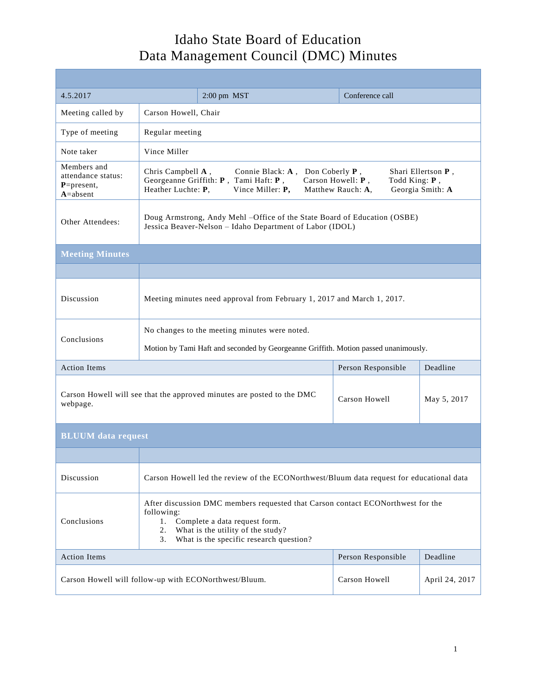## Idaho State Board of Education Data Management Council (DMC) Minutes

| 4.5.2017                                                                           |                                                                                                                                                                                                                                                    | $2:00$ pm $MST$ | Conference call    |                |  |
|------------------------------------------------------------------------------------|----------------------------------------------------------------------------------------------------------------------------------------------------------------------------------------------------------------------------------------------------|-----------------|--------------------|----------------|--|
| Meeting called by                                                                  | Carson Howell, Chair                                                                                                                                                                                                                               |                 |                    |                |  |
| Type of meeting                                                                    | Regular meeting                                                                                                                                                                                                                                    |                 |                    |                |  |
| Note taker                                                                         | Vince Miller                                                                                                                                                                                                                                       |                 |                    |                |  |
| Members and<br>attendance status:<br>$P = present,$<br>$A = absent$                | Chris Campbell A,<br>Shari Ellertson P,<br>Connie Black: A,<br>Don Coberly $P$ ,<br>Georgeanne Griffith: P, Tami Haft: P,<br>Carson Howell: P,<br>Todd King: P,<br>Heather Luchte: P,<br>Vince Miller: P,<br>Matthew Rauch: A.<br>Georgia Smith: A |                 |                    |                |  |
| Other Attendees:                                                                   | Doug Armstrong, Andy Mehl -Office of the State Board of Education (OSBE)<br>Jessica Beaver-Nelson - Idaho Department of Labor (IDOL)                                                                                                               |                 |                    |                |  |
| <b>Meeting Minutes</b>                                                             |                                                                                                                                                                                                                                                    |                 |                    |                |  |
|                                                                                    |                                                                                                                                                                                                                                                    |                 |                    |                |  |
| Discussion                                                                         | Meeting minutes need approval from February 1, 2017 and March 1, 2017.                                                                                                                                                                             |                 |                    |                |  |
| Conclusions                                                                        | No changes to the meeting minutes were noted.                                                                                                                                                                                                      |                 |                    |                |  |
|                                                                                    | Motion by Tami Haft and seconded by Georgeanne Griffith. Motion passed unanimously.                                                                                                                                                                |                 |                    |                |  |
| <b>Action Items</b>                                                                |                                                                                                                                                                                                                                                    |                 | Person Responsible | Deadline       |  |
| Carson Howell will see that the approved minutes are posted to the DMC<br>webpage. |                                                                                                                                                                                                                                                    |                 | Carson Howell      | May 5, 2017    |  |
| <b>BLUUM</b> data request                                                          |                                                                                                                                                                                                                                                    |                 |                    |                |  |
|                                                                                    |                                                                                                                                                                                                                                                    |                 |                    |                |  |
| Discussion                                                                         | Carson Howell led the review of the ECONorthwest/Bluum data request for educational data                                                                                                                                                           |                 |                    |                |  |
| Conclusions                                                                        | After discussion DMC members requested that Carson contact ECONorthwest for the<br>following:<br>Complete a data request form.<br>1.<br>What is the utility of the study?<br>2.<br>What is the specific research question?<br>3.                   |                 |                    |                |  |
| <b>Action Items</b>                                                                |                                                                                                                                                                                                                                                    |                 | Person Responsible | Deadline       |  |
| Carson Howell will follow-up with ECONorthwest/Bluum.                              |                                                                                                                                                                                                                                                    |                 | Carson Howell      | April 24, 2017 |  |